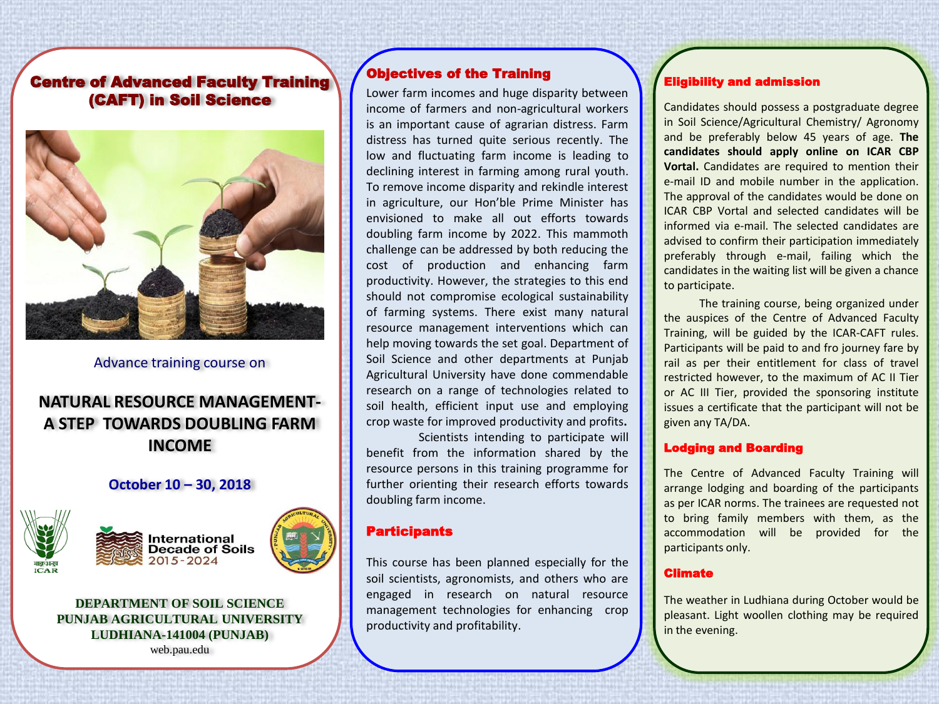## Centre of Advanced Faculty Training (CAFT) in Soil Science



Advance training course on

# **NATURAL RESOURCE MANAGEMENT-A STEP TOWARDS DOUBLING FARM INCOME**

### **October 10 – 30, 2018**







## **DEPARTMENT OF SOIL SCIENCE PUNJAB AGRICULTURAL UNIVERSITY LUDHIANA-141004 (PUNJAB)**

web.pau.edu

## Objectives of the Training

Lower farm incomes and huge disparity between income of farmers and non-agricultural workers is an important cause of agrarian distress. Farm distress has turned quite serious recently. The low and fluctuating farm income is leading to declining interest in farming among rural youth. To remove income disparity and rekindle interest in agriculture, our Hon'ble Prime Minister has envisioned to make all out efforts towards doubling farm income by 2022. This mammoth challenge can be addressed by both reducing the cost of production and enhancing farm productivity. However, the strategies to this end should not compromise ecological sustainability of farming systems. There exist many natural resource management interventions which can help moving towards the set goal. Department of Soil Science and other departments at Punjab Agricultural University have done commendable research on a range of technologies related to soil health, efficient input use and employing crop waste for improved productivity and profits**.**

Scientists intending to participate will benefit from the information shared by the resource persons in this training programme for further orienting their research efforts towards doubling farm income.

### **Participants**

This course has been planned especially for the soil scientists, agronomists, and others who are engaged in research on natural resource management technologies for enhancing crop productivity and profitability.

# Eligibility and admission

Candidates should possess a postgraduate degree in Soil Science/Agricultural Chemistry/ Agronomy and be preferably below 45 years of age. **The candidates should apply online on ICAR CBP Vortal.** Candidates are required to mention their e-mail ID and mobile number in the application. The approval of the candidates would be done on ICAR CBP Vortal and selected candidates will be informed via e-mail. The selected candidates are advised to confirm their participation immediately preferably through e-mail, failing which the candidates in the waiting list will be given a chance to participate.

The training course, being organized under the auspices of the Centre of Advanced Faculty Training, will be guided by the ICAR-CAFT rules. Participants will be paid to and fro journey fare by rail as per their entitlement for class of travel restricted however, to the maximum of AC II Tier or AC III Tier, provided the sponsoring institute issues a certificate that the participant will not be given any TA/DA.

#### Lodging and Boarding

The Centre of Advanced Faculty Training will arrange lodging and boarding of the participants as per ICAR norms. The trainees are requested not to bring family members with them, as the accommodation will be provided for the participants only.

#### Climate

The weather in Ludhiana during October would be pleasant. Light woollen clothing may be required in the evening.